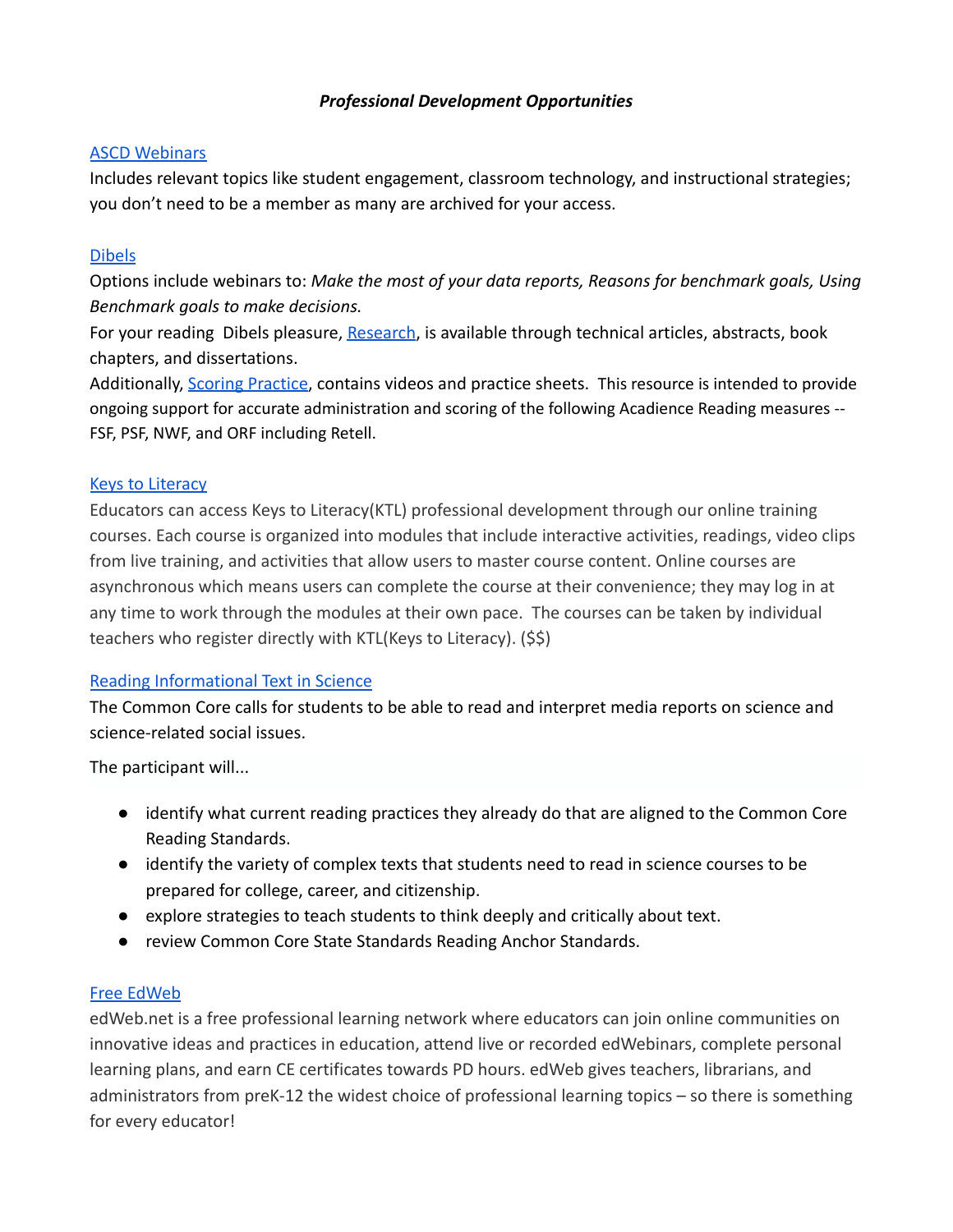# *Professional Development Opportunities*

#### **[ASCD Webinars](http://www.ascd.org/professional-development/webinars.aspx)**

Includes relevant topics like student engagement, classroom technology, and instructional strategies; you don't need to be a member as many are archived for your access.

# [Dibels](https://dibels.uoregon.edu/training)

Options include webinars to: *Make the most of your data reports, Reasons for benchmark goals, Using Benchmark goals to make decisions.*

For your reading Dibels pleasure, [Research](https://dibels.uoregon.edu/research), is available through technical articles, abstracts, book chapters, and dissertations.

Additionally, [Scoring Practice](https://www.acadiencelearning.org/training/online-training/), contains videos and practice sheets. This resource is intended to provide ongoing support for accurate administration and scoring of the following Acadience Reading measures -- FSF, PSF, NWF, and ORF including Retell.

## [Keys to Literacy](https://keystoliteracy.com/delivery/online-pd/)

Educators can access Keys to Literacy(KTL) professional development through our online training courses. Each course is organized into modules that include interactive activities, readings, video clips from live training, and activities that allow users to master course content. Online courses are asynchronous which means users can complete the course at their convenience; they may log in at any time to work through the modules at their own pace. The courses can be taken by individual teachers who register directly with KTL(Keys to Literacy). (\$\$)

## Reading Informational Text in Science

The Common Core calls for students to be able to read and interpret media reports on science and science-related social issues.

The participant will...

- identify what current reading practices they already do that are aligned to the Common Core Reading Standards.
- identify the variety of complex texts that students need to read in science courses to be prepared for college, career, and citizenship.
- explore strategies to teach students to think deeply and critically about text.
- review Common Core State Standards Reading Anchor Standards.

## [Free EdWeb](https://home.edweb.net/)

edWeb.net is a free professional learning network where educators can join online communities on innovative ideas and practices in education, attend live or recorded edWebinars, complete personal learning plans, and earn CE certificates towards PD hours. edWeb gives teachers, librarians, and administrators from preK-12 the widest choice of professional learning topics – so there is something for every educator!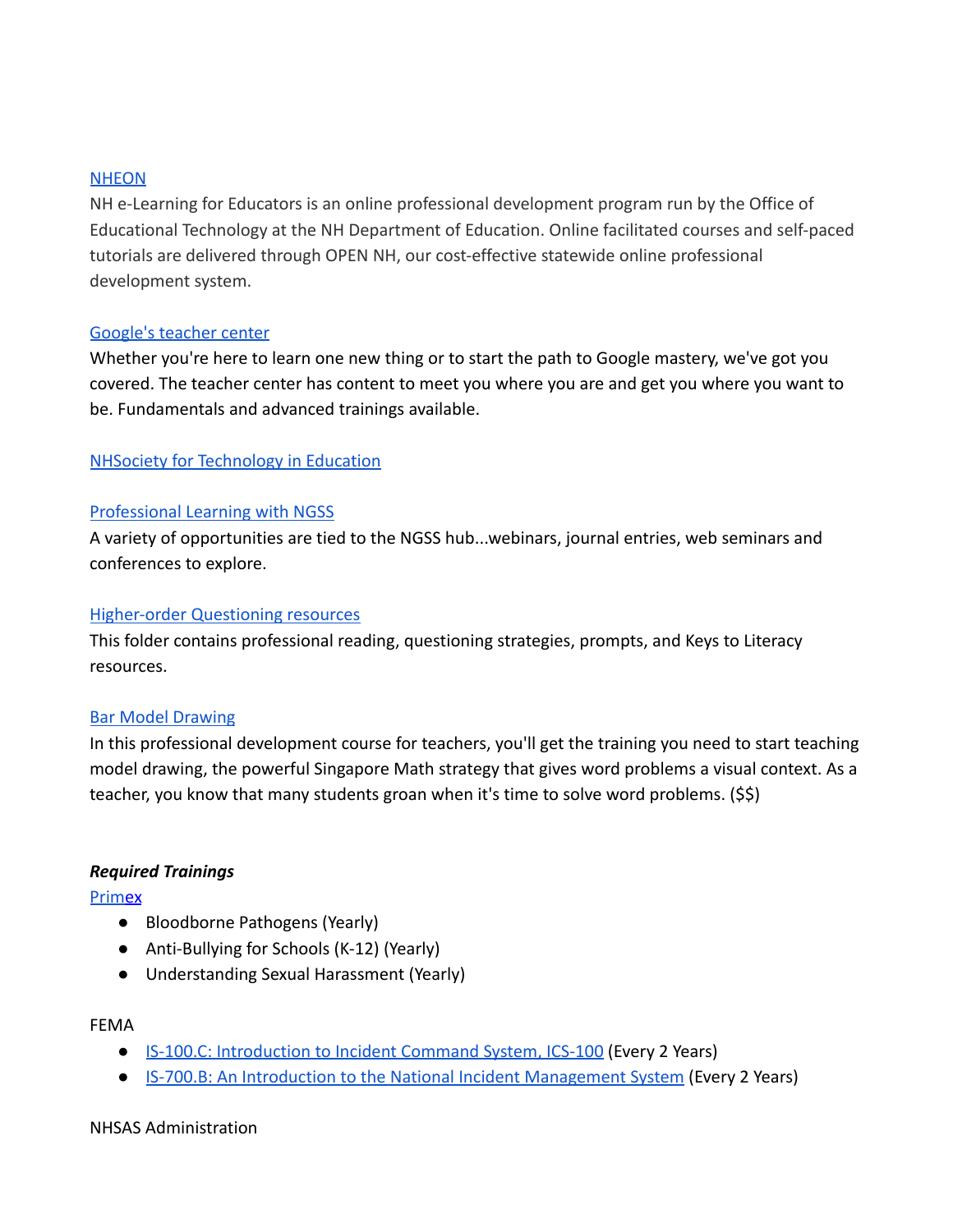#### **[NHEON](http://www.nheon.org/)**

NH e-Learning for Educators is an online professional development program run by the Office of Educational Technology at the NH Department of Education. Online facilitated courses and self-paced tutorials are delivered through OPEN NH, our cost-effective statewide online professional development system.

## [Google's teacher center](https://teachercenter.withgoogle.com/training)

Whether you're here to learn one new thing or to start the path to Google mastery, we've got you covered. The teacher center has content to meet you where you are and get you where you want to be. Fundamentals and advanced trainings available.

## [NHSociety for Technology in Education](http://www.nhste.org/virtualpd/)

## [Professional Learning with NGSS](https://ngss.nsta.org/Professional-Learning.aspx)

A variety of opportunities are tied to the NGSS hub...webinars, journal entries, web seminars and conferences to explore.

#### [Higher-order Questioning resources](https://drive.google.com/open?id=1a4vE5ZcGN-V-ljdzFxum35enPz_RW8kD2U1-0j-ljOA)

This folder contains professional reading, questioning strategies, prompts, and Keys to Literacy resources.

## [Bar Model Drawing](https://www.ed2go.com/pcc/online-courses/singapore-math-strategies-model-drawing-for-grades-1-6?tab=detail)

In this professional development course for teachers, you'll get the training you need to start teaching model drawing, the powerful Singapore Math strategy that gives word problems a visual context. As a teacher, you know that many students groan when it's time to solve word problems. (\$\$)

## *Required Trainings*

**[Prime](https://www.nhprimex.org/explore-training/)x** 

- Bloodborne Pathogens (Yearly)
- Anti-Bullying for Schools (K-12) (Yearly)
- Understanding Sexual Harassment (Yearly)

#### FEMA

- [IS-100.C: Introduction to Incident Command System, ICS-100](https://training.fema.gov/is/courseoverview.aspx?code=IS-100.c) (Every 2 Years)
- [IS-700.B: An Introduction to the National Incident Management System](https://training.fema.gov/is/courseoverview.aspx?code=IS-700.b) (Every 2 Years)

#### NHSAS Administration